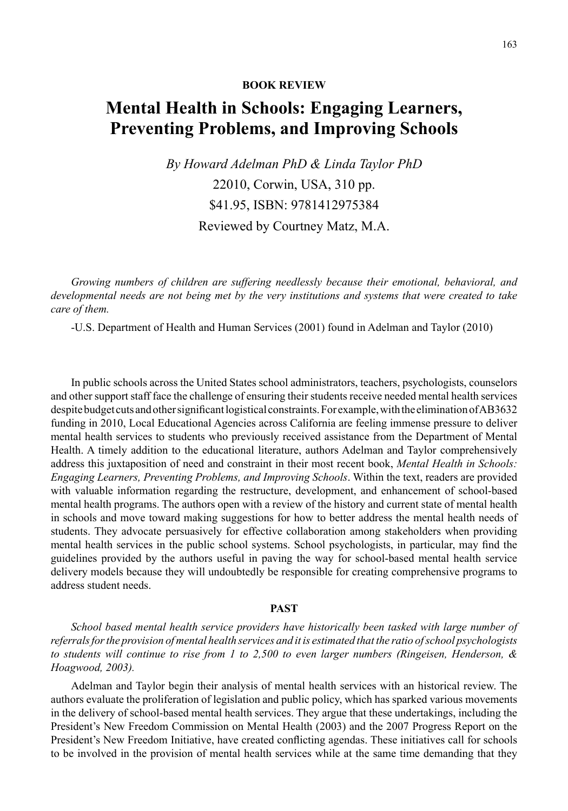## **BOOK REVIEW**

# **Mental Health in Schools: Engaging Learners, Preventing Problems, and Improving Schools**

*By Howard Adelman PhD & Linda Taylor PhD*

22010, Corwin, USA, 310 pp. \$41.95, ISBN: 9781412975384 Reviewed by Courtney Matz, M.A.

*Growing numbers of children are suffering needlessly because their emotional, behavioral, and developmental needs are not being met by the very institutions and systems that were created to take care of them.*

-U.S. Department of Health and Human Services (2001) found in Adelman and Taylor (2010)

In public schools across the United States school administrators, teachers, psychologists, counselors and other support staff face the challenge of ensuring their students receive needed mental health services despite budget cuts and other significant logistical constraints. For example, with the elimination of AB3632 funding in 2010, Local Educational Agencies across California are feeling immense pressure to deliver mental health services to students who previously received assistance from the Department of Mental Health. A timely addition to the educational literature, authors Adelman and Taylor comprehensively address this juxtaposition of need and constraint in their most recent book, *Mental Health in Schools: Engaging Learners, Preventing Problems, and Improving Schools*. Within the text, readers are provided with valuable information regarding the restructure, development, and enhancement of school-based mental health programs. The authors open with a review of the history and current state of mental health in schools and move toward making suggestions for how to better address the mental health needs of students. They advocate persuasively for effective collaboration among stakeholders when providing mental health services in the public school systems. School psychologists, in particular, may find the guidelines provided by the authors useful in paving the way for school-based mental health service delivery models because they will undoubtedly be responsible for creating comprehensive programs to address student needs.

# **Past**

*School based mental health service providers have historically been tasked with large number of referrals for the provision of mental health services and it is estimated that the ratio of school psychologists to students will continue to rise from 1 to 2,500 to even larger numbers (Ringeisen, Henderson, & Hoagwood, 2003).* 

Adelman and Taylor begin their analysis of mental health services with an historical review. The authors evaluate the proliferation of legislation and public policy, which has sparked various movements in the delivery of school-based mental health services. They argue that these undertakings, including the President's New Freedom Commission on Mental Health (2003) and the 2007 Progress Report on the President's New Freedom Initiative, have created conflicting agendas. These initiatives call for schools to be involved in the provision of mental health services while at the same time demanding that they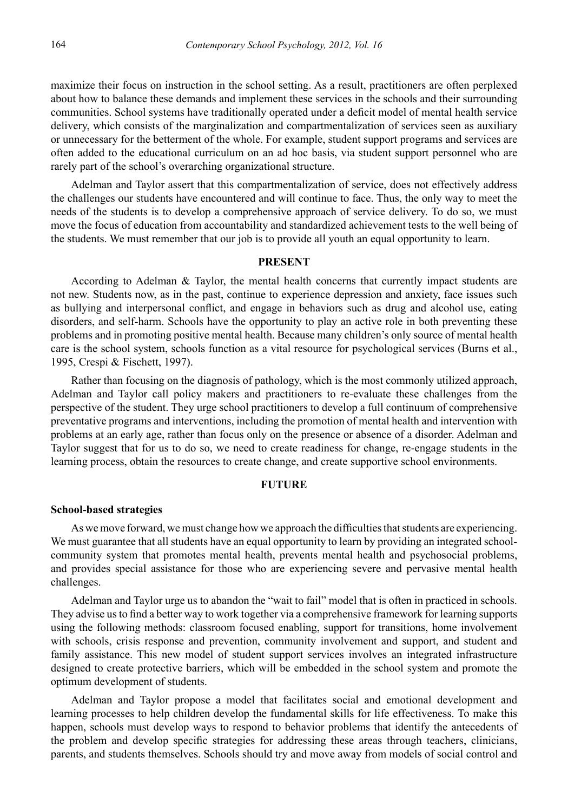maximize their focus on instruction in the school setting. As a result, practitioners are often perplexed about how to balance these demands and implement these services in the schools and their surrounding communities. School systems have traditionally operated under a deficit model of mental health service delivery, which consists of the marginalization and compartmentalization of services seen as auxiliary or unnecessary for the betterment of the whole. For example, student support programs and services are often added to the educational curriculum on an ad hoc basis, via student support personnel who are rarely part of the school's overarching organizational structure.

Adelman and Taylor assert that this compartmentalization of service, does not effectively address the challenges our students have encountered and will continue to face. Thus, the only way to meet the needs of the students is to develop a comprehensive approach of service delivery. To do so, we must move the focus of education from accountability and standardized achievement tests to the well being of the students. We must remember that our job is to provide all youth an equal opportunity to learn.

### **Present**

According to Adelman & Taylor, the mental health concerns that currently impact students are not new. Students now, as in the past, continue to experience depression and anxiety, face issues such as bullying and interpersonal conflict, and engage in behaviors such as drug and alcohol use, eating disorders, and self-harm. Schools have the opportunity to play an active role in both preventing these problems and in promoting positive mental health. Because many children's only source of mental health care is the school system, schools function as a vital resource for psychological services (Burns et al., 1995, Crespi & Fischett, 1997).

Rather than focusing on the diagnosis of pathology, which is the most commonly utilized approach, Adelman and Taylor call policy makers and practitioners to re-evaluate these challenges from the perspective of the student. They urge school practitioners to develop a full continuum of comprehensive preventative programs and interventions, including the promotion of mental health and intervention with problems at an early age, rather than focus only on the presence or absence of a disorder. Adelman and Taylor suggest that for us to do so, we need to create readiness for change, re-engage students in the learning process, obtain the resources to create change, and create supportive school environments.

# **Future**

#### **School-based strategies**

As we move forward, we must change how we approach the difficulties that students are experiencing. We must guarantee that all students have an equal opportunity to learn by providing an integrated schoolcommunity system that promotes mental health, prevents mental health and psychosocial problems, and provides special assistance for those who are experiencing severe and pervasive mental health challenges.

Adelman and Taylor urge us to abandon the "wait to fail" model that is often in practiced in schools. They advise us to find a better way to work together via a comprehensive framework for learning supports using the following methods: classroom focused enabling, support for transitions, home involvement with schools, crisis response and prevention, community involvement and support, and student and family assistance. This new model of student support services involves an integrated infrastructure designed to create protective barriers, which will be embedded in the school system and promote the optimum development of students.

Adelman and Taylor propose a model that facilitates social and emotional development and learning processes to help children develop the fundamental skills for life effectiveness. To make this happen, schools must develop ways to respond to behavior problems that identify the antecedents of the problem and develop specific strategies for addressing these areas through teachers, clinicians, parents, and students themselves. Schools should try and move away from models of social control and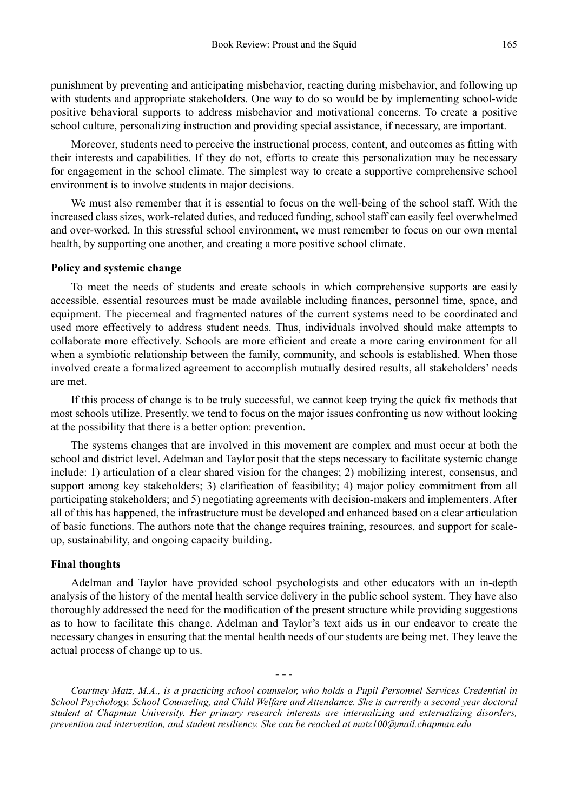punishment by preventing and anticipating misbehavior, reacting during misbehavior, and following up with students and appropriate stakeholders. One way to do so would be by implementing school-wide positive behavioral supports to address misbehavior and motivational concerns. To create a positive school culture, personalizing instruction and providing special assistance, if necessary, are important.

Moreover, students need to perceive the instructional process, content, and outcomes as fitting with their interests and capabilities. If they do not, efforts to create this personalization may be necessary for engagement in the school climate. The simplest way to create a supportive comprehensive school environment is to involve students in major decisions.

We must also remember that it is essential to focus on the well-being of the school staff. With the increased class sizes, work-related duties, and reduced funding, school staff can easily feel overwhelmed and over-worked. In this stressful school environment, we must remember to focus on our own mental health, by supporting one another, and creating a more positive school climate.

# **Policy and systemic change**

To meet the needs of students and create schools in which comprehensive supports are easily accessible, essential resources must be made available including finances, personnel time, space, and equipment. The piecemeal and fragmented natures of the current systems need to be coordinated and used more effectively to address student needs. Thus, individuals involved should make attempts to collaborate more effectively. Schools are more efficient and create a more caring environment for all when a symbiotic relationship between the family, community, and schools is established. When those involved create a formalized agreement to accomplish mutually desired results, all stakeholders' needs are met.

If this process of change is to be truly successful, we cannot keep trying the quick fix methods that most schools utilize. Presently, we tend to focus on the major issues confronting us now without looking at the possibility that there is a better option: prevention.

The systems changes that are involved in this movement are complex and must occur at both the school and district level. Adelman and Taylor posit that the steps necessary to facilitate systemic change include: 1) articulation of a clear shared vision for the changes; 2) mobilizing interest, consensus, and support among key stakeholders; 3) clarification of feasibility; 4) major policy commitment from all participating stakeholders; and 5) negotiating agreements with decision-makers and implementers. After all of this has happened, the infrastructure must be developed and enhanced based on a clear articulation of basic functions. The authors note that the change requires training, resources, and support for scaleup, sustainability, and ongoing capacity building.

#### **Final thoughts**

Adelman and Taylor have provided school psychologists and other educators with an in-depth analysis of the history of the mental health service delivery in the public school system. They have also thoroughly addressed the need for the modification of the present structure while providing suggestions as to how to facilitate this change. Adelman and Taylor's text aids us in our endeavor to create the necessary changes in ensuring that the mental health needs of our students are being met. They leave the actual process of change up to us.

*Courtney Matz, M.A., is a practicing school counselor, who holds a Pupil Personnel Services Credential in School Psychology, School Counseling, and Child Welfare and Attendance. She is currently a second year doctoral student at Chapman University. Her primary research interests are internalizing and externalizing disorders, prevention and intervention, and student resiliency. She can be reached at matz100@mail.chapman.edu*

**- - -**